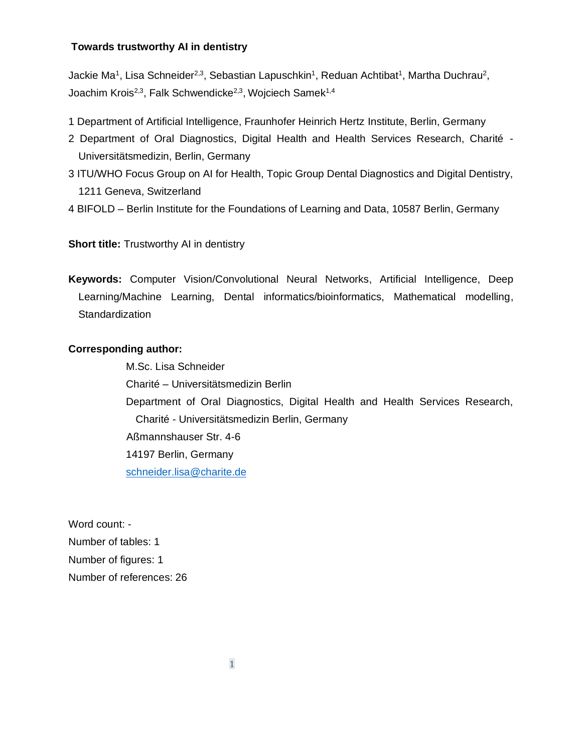#### **Towards trustworthy AI in dentistry**

Jackie Ma<sup>1</sup>, Lisa Schneider<sup>2,3</sup>, Sebastian Lapuschkin<sup>1</sup>, Reduan Achtibat<sup>1</sup>, Martha Duchrau<sup>2</sup>, Joachim Krois<sup>2,3</sup>, Falk Schwendicke<sup>2,3</sup>, Wojciech Samek<sup>1,4</sup>

- 1 Department of Artificial Intelligence, Fraunhofer Heinrich Hertz Institute, Berlin, Germany
- 2 Department of Oral Diagnostics, Digital Health and Health Services Research, Charité Universitätsmedizin, Berlin, Germany
- 3 ITU/WHO Focus Group on AI for Health, Topic Group Dental Diagnostics and Digital Dentistry, 1211 Geneva, Switzerland
- 4 BIFOLD Berlin Institute for the Foundations of Learning and Data, 10587 Berlin, Germany

**Short title:** Trustworthy AI in dentistry

**Keywords:** Computer Vision/Convolutional Neural Networks, Artificial Intelligence, Deep Learning/Machine Learning, Dental informatics/bioinformatics, Mathematical modelling, **Standardization** 

### **Corresponding author:**

M.Sc. Lisa Schneider Charité – Universitätsmedizin Berlin Department of Oral Diagnostics, Digital Health and Health Services Research, Charité - Universitätsmedizin Berlin, Germany Aßmannshauser Str. 4-6 14197 Berlin, Germany schneider.lis[a@charite.de](mailto:falk.schwendicke@charite.de)

Word count: - Number of tables: 1 Number of figures: 1 Number of references: 26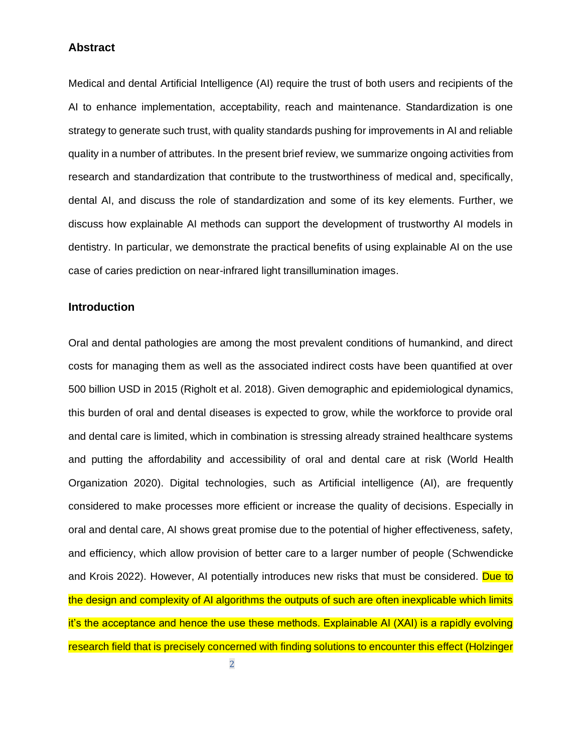### **Abstract**

Medical and dental Artificial Intelligence (AI) require the trust of both users and recipients of the AI to enhance implementation, acceptability, reach and maintenance. Standardization is one strategy to generate such trust, with quality standards pushing for improvements in AI and reliable quality in a number of attributes. In the present brief review, we summarize ongoing activities from research and standardization that contribute to the trustworthiness of medical and, specifically, dental AI, and discuss the role of standardization and some of its key elements. Further, we discuss how explainable AI methods can support the development of trustworthy AI models in dentistry. In particular, we demonstrate the practical benefits of using explainable AI on the use case of caries prediction on near-infrared light transillumination images.

### **Introduction**

Oral and dental pathologies are among the most prevalent conditions of humankind, and direct costs for managing them as well as the associated indirect costs have been quantified at over 500 billion USD in 2015 (Righolt et al. 2018). Given demographic and epidemiological dynamics, this burden of oral and dental diseases is expected to grow, while the workforce to provide oral and dental care is limited, which in combination is stressing already strained healthcare systems and putting the affordability and accessibility of oral and dental care at risk (World Health Organization 2020). Digital technologies, such as Artificial intelligence (AI), are frequently considered to make processes more efficient or increase the quality of decisions. Especially in oral and dental care, AI shows great promise due to the potential of higher effectiveness, safety, and efficiency, which allow provision of better care to a larger number of people (Schwendicke and Krois 2022). However, AI potentially introduces new risks that must be considered. Due to the design and complexity of AI algorithms the outputs of such are often inexplicable which limits it's the acceptance and hence the use these methods. Explainable AI (XAI) is a rapidly evolving research field that is precisely concerned with finding solutions to encounter this effect (Holzinger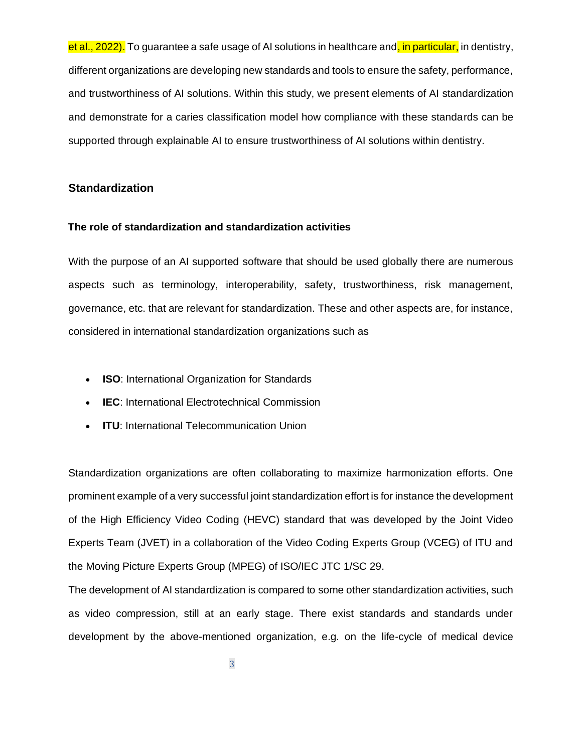et al., 2022). To guarantee a safe usage of AI solutions in healthcare and, in particular, in dentistry, different organizations are developing new standards and tools to ensure the safety, performance, and trustworthiness of AI solutions. Within this study, we present elements of AI standardization and demonstrate for a caries classification model how compliance with these standards can be supported through explainable AI to ensure trustworthiness of AI solutions within dentistry.

### **Standardization**

#### **The role of standardization and standardization activities**

With the purpose of an AI supported software that should be used globally there are numerous aspects such as terminology, interoperability, safety, trustworthiness, risk management, governance, etc. that are relevant for standardization. These and other aspects are, for instance, considered in international standardization organizations such as

- **ISO**: International Organization for Standards
- **IEC**: International Electrotechnical Commission
- **ITU**: International Telecommunication Union

Standardization organizations are often collaborating to maximize harmonization efforts. One prominent example of a very successful joint standardization effort is for instance the development of the High Efficiency Video Coding (HEVC) standard that was developed by the Joint Video Experts Team (JVET) in a collaboration of the Video Coding Experts Group (VCEG) of ITU and the Moving Picture Experts Group (MPEG) of ISO/IEC JTC 1/SC 29.

The development of AI standardization is compared to some other standardization activities, such as video compression, still at an early stage. There exist standards and standards under development by the above-mentioned organization, e.g. on the life-cycle of medical device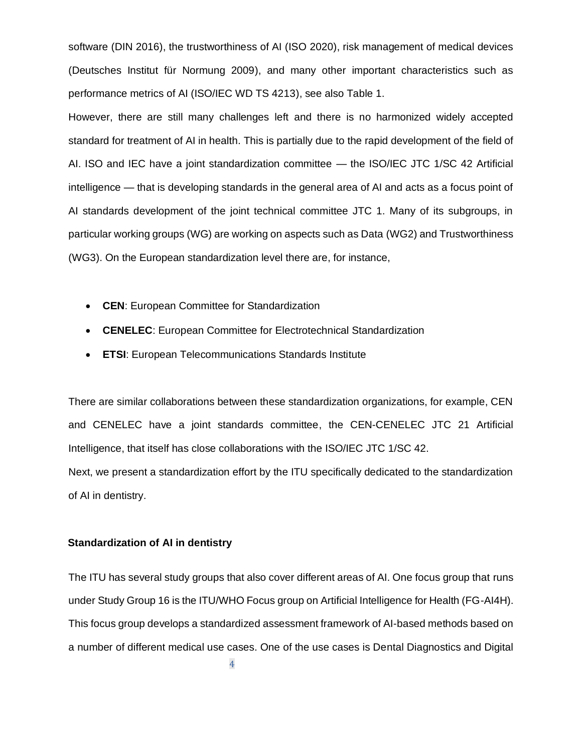software (DIN 2016), the trustworthiness of AI (ISO 2020), risk management of medical devices (Deutsches Institut für Normung 2009), and many other important characteristics such as performance metrics of AI (ISO/IEC WD TS 4213), see also Table 1.

However, there are still many challenges left and there is no harmonized widely accepted standard for treatment of AI in health. This is partially due to the rapid development of the field of AI. ISO and IEC have a joint standardization committee — the ISO/IEC JTC 1/SC 42 Artificial intelligence — that is developing standards in the general area of AI and acts as a focus point of AI standards development of the joint technical committee JTC 1. Many of its subgroups, in particular working groups (WG) are working on aspects such as Data (WG2) and Trustworthiness (WG3). On the European standardization level there are, for instance,

- **CEN**: European Committee for Standardization
- **CENELEC**: European Committee for Electrotechnical Standardization
- **ETSI**: European Telecommunications Standards Institute

There are similar collaborations between these standardization organizations, for example, CEN and CENELEC have a joint standards committee, the CEN-CENELEC JTC 21 Artificial Intelligence, that itself has close collaborations with the ISO/IEC JTC 1/SC 42.

Next, we present a standardization effort by the ITU specifically dedicated to the standardization of AI in dentistry.

#### **Standardization of AI in dentistry**

The ITU has several study groups that also cover different areas of AI. One focus group that runs under Study Group 16 is the ITU/WHO Focus group on Artificial Intelligence for Health (FG-AI4H). This focus group develops a standardized assessment framework of AI-based methods based on a number of different medical use cases. One of the use cases is Dental Diagnostics and Digital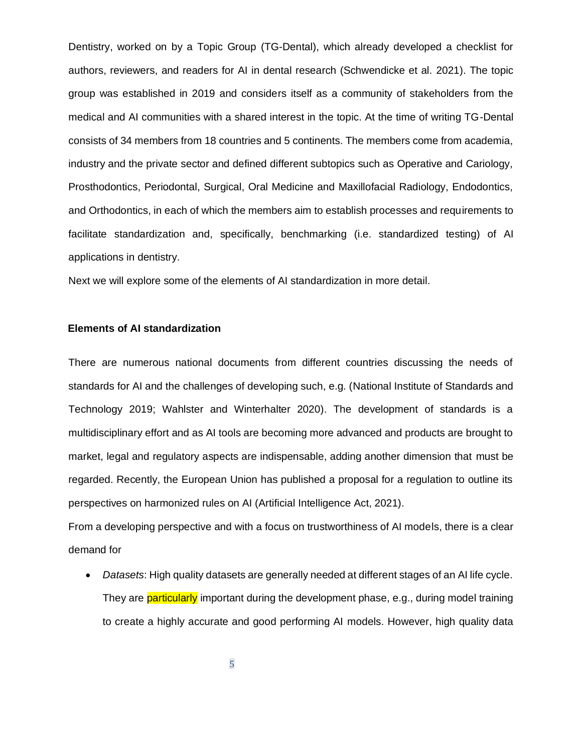Dentistry, worked on by a Topic Group (TG-Dental), which already developed a checklist for authors, reviewers, and readers for AI in dental research (Schwendicke et al. 2021). The topic group was established in 2019 and considers itself as a community of stakeholders from the medical and AI communities with a shared interest in the topic. At the time of writing TG-Dental consists of 34 members from 18 countries and 5 continents. The members come from academia, industry and the private sector and defined different subtopics such as Operative and Cariology, Prosthodontics, Periodontal, Surgical, Oral Medicine and Maxillofacial Radiology, Endodontics, and Orthodontics, in each of which the members aim to establish processes and requirements to facilitate standardization and, specifically, benchmarking (i.e. standardized testing) of AI applications in dentistry.

Next we will explore some of the elements of AI standardization in more detail.

### **Elements of AI standardization**

There are numerous national documents from different countries discussing the needs of standards for AI and the challenges of developing such, e.g. (National Institute of Standards and Technology 2019; Wahlster and Winterhalter 2020). The development of standards is a multidisciplinary effort and as AI tools are becoming more advanced and products are brought to market, legal and regulatory aspects are indispensable, adding another dimension that must be regarded. Recently, the European Union has published a proposal for a regulation to outline its perspectives on harmonized rules on AI (Artificial Intelligence Act, 2021).

From a developing perspective and with a focus on trustworthiness of AI models, there is a clear demand for

• *Datasets*: High quality datasets are generally needed at different stages of an AI life cycle. They are **particularly** important during the development phase, e.g., during model training to create a highly accurate and good performing AI models. However, high quality data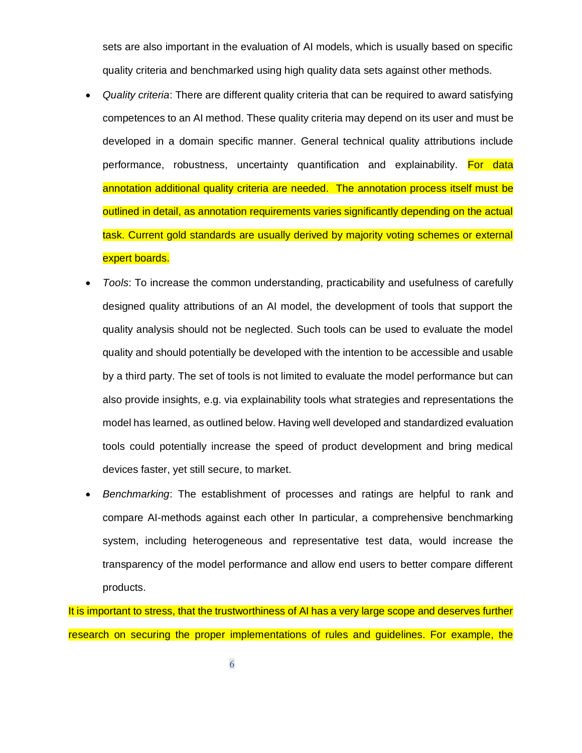sets are also important in the evaluation of AI models, which is usually based on specific quality criteria and benchmarked using high quality data sets against other methods.

- *Quality criteria*: There are different quality criteria that can be required to award satisfying competences to an AI method. These quality criteria may depend on its user and must be developed in a domain specific manner. General technical quality attributions include performance, robustness, uncertainty quantification and explainability. For data annotation additional quality criteria are needed. The annotation process itself must be outlined in detail, as annotation requirements varies significantly depending on the actual task. Current gold standards are usually derived by majority voting schemes or external expert boards.
- *Tools*: To increase the common understanding, practicability and usefulness of carefully designed quality attributions of an AI model, the development of tools that support the quality analysis should not be neglected. Such tools can be used to evaluate the model quality and should potentially be developed with the intention to be accessible and usable by a third party. The set of tools is not limited to evaluate the model performance but can also provide insights, e.g. via explainability tools what strategies and representations the model has learned, as outlined below. Having well developed and standardized evaluation tools could potentially increase the speed of product development and bring medical devices faster, yet still secure, to market.
- *Benchmarking*: The establishment of processes and ratings are helpful to rank and compare AI-methods against each other In particular, a comprehensive benchmarking system, including heterogeneous and representative test data, would increase the transparency of the model performance and allow end users to better compare different products.

It is important to stress, that the trustworthiness of AI has a very large scope and deserves further research on securing the proper implementations of rules and guidelines. For example, the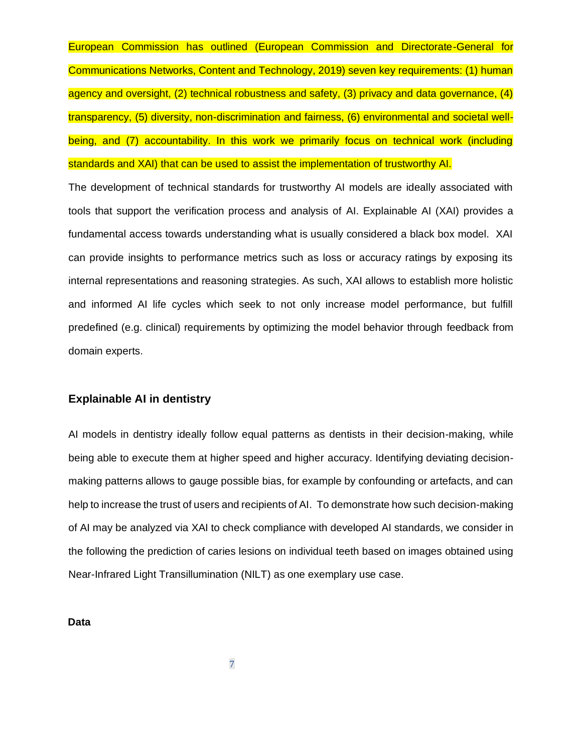European Commission has outlined (European Commission and Directorate-General for Communications Networks, Content and Technology, 2019) seven key requirements: (1) human agency and oversight, (2) technical robustness and safety, (3) privacy and data governance, (4) transparency, (5) diversity, non-discrimination and fairness, (6) environmental and societal wellbeing, and (7) accountability. In this work we primarily focus on technical work (including standards and XAI) that can be used to assist the implementation of trustworthy AI.

The development of technical standards for trustworthy AI models are ideally associated with tools that support the verification process and analysis of AI. Explainable AI (XAI) provides a fundamental access towards understanding what is usually considered a black box model. XAI can provide insights to performance metrics such as loss or accuracy ratings by exposing its internal representations and reasoning strategies. As such, XAI allows to establish more holistic and informed AI life cycles which seek to not only increase model performance, but fulfill predefined (e.g. clinical) requirements by optimizing the model behavior through feedback from domain experts.

# **Explainable AI in dentistry**

AI models in dentistry ideally follow equal patterns as dentists in their decision-making, while being able to execute them at higher speed and higher accuracy. Identifying deviating decisionmaking patterns allows to gauge possible bias, for example by confounding or artefacts, and can help to increase the trust of users and recipients of AI. To demonstrate how such decision-making of AI may be analyzed via XAI to check compliance with developed AI standards, we consider in the following the prediction of caries lesions on individual teeth based on images obtained using Near-Infrared Light Transillumination (NILT) as one exemplary use case.

**Data**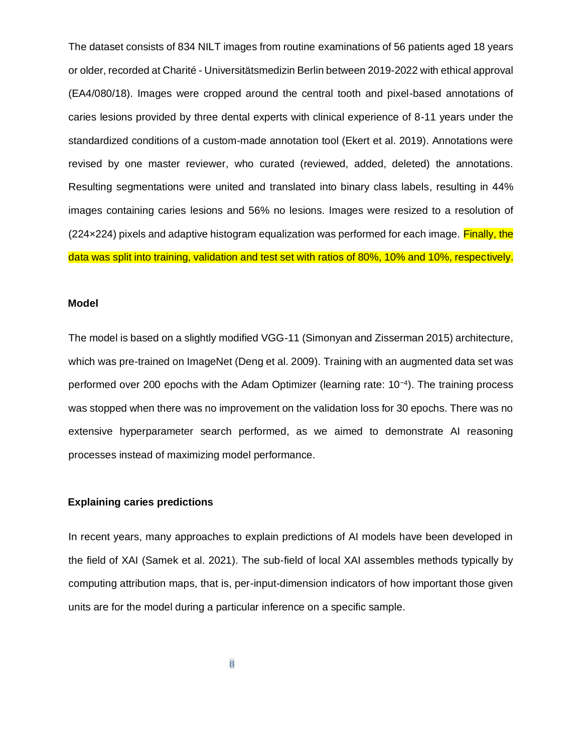The dataset consists of 834 NILT images from routine examinations of 56 patients aged 18 years or older, recorded at Charité - Universitätsmedizin Berlin between 2019-2022 with ethical approval (EA4/080/18). Images were cropped around the central tooth and pixel-based annotations of caries lesions provided by three dental experts with clinical experience of 8-11 years under the standardized conditions of a custom-made annotation tool (Ekert et al. 2019). Annotations were revised by one master reviewer, who curated (reviewed, added, deleted) the annotations. Resulting segmentations were united and translated into binary class labels, resulting in 44% images containing caries lesions and 56% no lesions. Images were resized to a resolution of (224×224) pixels and adaptive histogram equalization was performed for each image. Finally, the data was split into training, validation and test set with ratios of 80%, 10% and 10%, respectively.

#### **Model**

The model is based on a slightly modified VGG-11 (Simonyan and Zisserman 2015) architecture, which was pre-trained on ImageNet (Deng et al. 2009). Training with an augmented data set was performed over 200 epochs with the Adam Optimizer (learning rate: 10<sup>-4</sup>). The training process was stopped when there was no improvement on the validation loss for 30 epochs. There was no extensive hyperparameter search performed, as we aimed to demonstrate AI reasoning processes instead of maximizing model performance.

#### **Explaining caries predictions**

In recent years, many approaches to explain predictions of AI models have been developed in the field of XAI (Samek et al. 2021). The sub-field of local XAI assembles methods typically by computing attribution maps, that is, per-input-dimension indicators of how important those given units are for the model during a particular inference on a specific sample.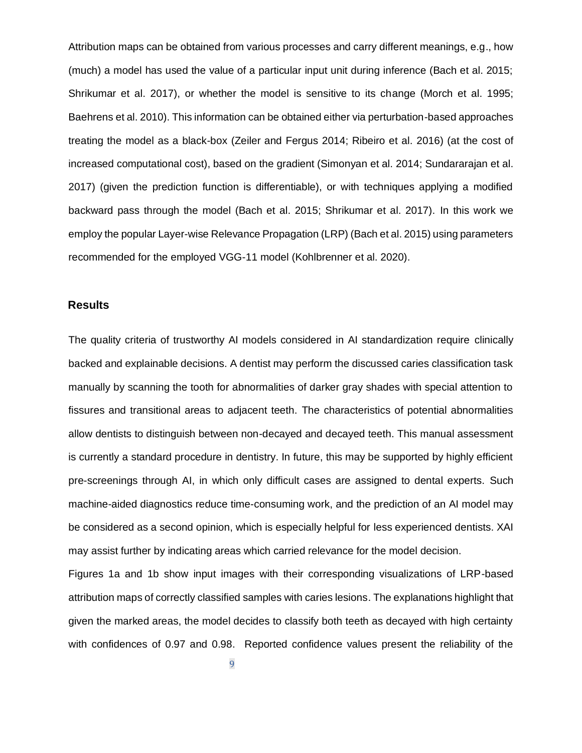Attribution maps can be obtained from various processes and carry different meanings, e.g., how (much) a model has used the value of a particular input unit during inference (Bach et al. 2015; Shrikumar et al. 2017), or whether the model is sensitive to its change (Morch et al. 1995; Baehrens et al. 2010). This information can be obtained either via perturbation-based approaches treating the model as a black-box (Zeiler and Fergus 2014; Ribeiro et al. 2016) (at the cost of increased computational cost), based on the gradient (Simonyan et al. 2014; Sundararajan et al. 2017) (given the prediction function is differentiable), or with techniques applying a modified backward pass through the model (Bach et al. 2015; Shrikumar et al. 2017). In this work we employ the popular Layer-wise Relevance Propagation (LRP) (Bach et al. 2015) using parameters recommended for the employed VGG-11 model (Kohlbrenner et al. 2020).

# **Results**

The quality criteria of trustworthy AI models considered in AI standardization require clinically backed and explainable decisions. A dentist may perform the discussed caries classification task manually by scanning the tooth for abnormalities of darker gray shades with special attention to fissures and transitional areas to adjacent teeth. The characteristics of potential abnormalities allow dentists to distinguish between non-decayed and decayed teeth. This manual assessment is currently a standard procedure in dentistry. In future, this may be supported by highly efficient pre-screenings through AI, in which only difficult cases are assigned to dental experts. Such machine-aided diagnostics reduce time-consuming work, and the prediction of an AI model may be considered as a second opinion, which is especially helpful for less experienced dentists. XAI may assist further by indicating areas which carried relevance for the model decision.

Figures 1a and 1b show input images with their corresponding visualizations of LRP-based attribution maps of correctly classified samples with caries lesions. The explanations highlight that given the marked areas, the model decides to classify both teeth as decayed with high certainty with confidences of 0.97 and 0.98. Reported confidence values present the reliability of the

9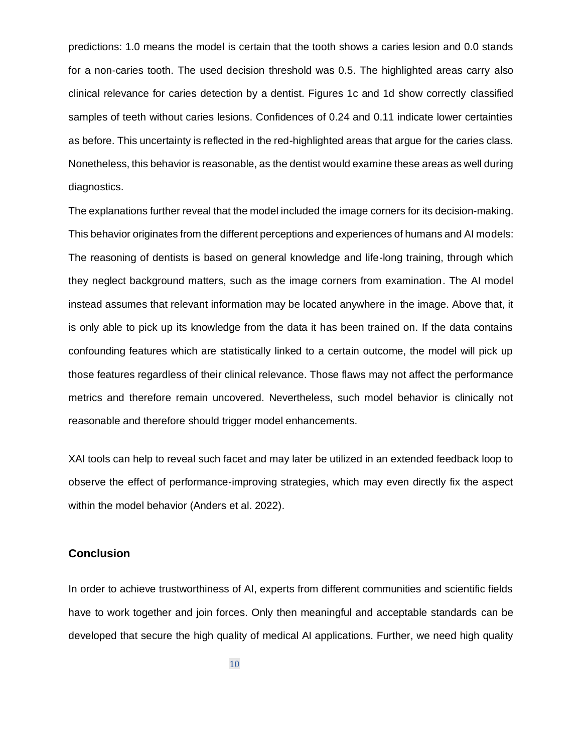predictions: 1.0 means the model is certain that the tooth shows a caries lesion and 0.0 stands for a non-caries tooth. The used decision threshold was 0.5. The highlighted areas carry also clinical relevance for caries detection by a dentist. Figures 1c and 1d show correctly classified samples of teeth without caries lesions. Confidences of 0.24 and 0.11 indicate lower certainties as before. This uncertainty is reflected in the red-highlighted areas that argue for the caries class. Nonetheless, this behavior is reasonable, as the dentist would examine these areas as well during diagnostics.

The explanations further reveal that the model included the image corners for its decision-making. This behavior originates from the different perceptions and experiences of humans and AI models: The reasoning of dentists is based on general knowledge and life-long training, through which they neglect background matters, such as the image corners from examination. The AI model instead assumes that relevant information may be located anywhere in the image. Above that, it is only able to pick up its knowledge from the data it has been trained on. If the data contains confounding features which are statistically linked to a certain outcome, the model will pick up those features regardless of their clinical relevance. Those flaws may not affect the performance metrics and therefore remain uncovered. Nevertheless, such model behavior is clinically not reasonable and therefore should trigger model enhancements.

XAI tools can help to reveal such facet and may later be utilized in an extended feedback loop to observe the effect of performance-improving strategies, which may even directly fix the aspect within the model behavior (Anders et al. 2022).

### **Conclusion**

In order to achieve trustworthiness of AI, experts from different communities and scientific fields have to work together and join forces. Only then meaningful and acceptable standards can be developed that secure the high quality of medical AI applications. Further, we need high quality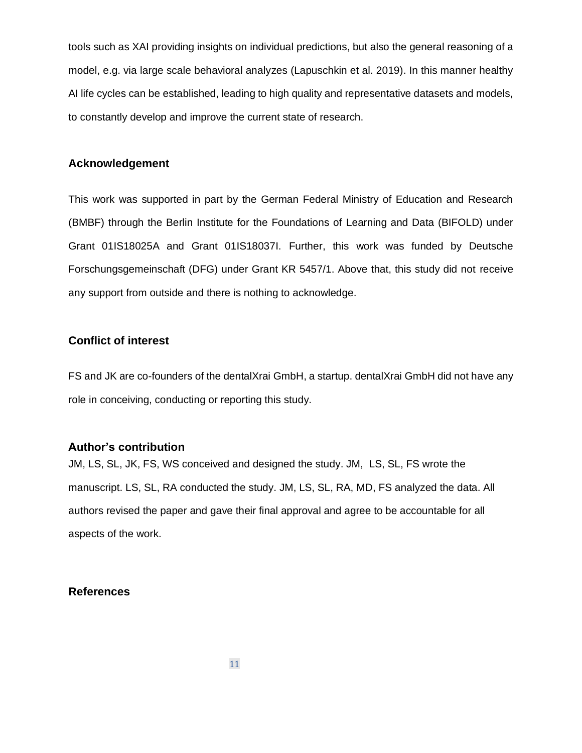tools such as XAI providing insights on individual predictions, but also the general reasoning of a model, e.g. via large scale behavioral analyzes (Lapuschkin et al. 2019). In this manner healthy AI life cycles can be established, leading to high quality and representative datasets and models, to constantly develop and improve the current state of research.

# **Acknowledgement**

This work was supported in part by the German Federal Ministry of Education and Research (BMBF) through the Berlin Institute for the Foundations of Learning and Data (BIFOLD) under Grant 01IS18025A and Grant 01IS18037I. Further, this work was funded by Deutsche Forschungsgemeinschaft (DFG) under Grant KR 5457/1. Above that, this study did not receive any support from outside and there is nothing to acknowledge.

# **Conflict of interest**

FS and JK are co-founders of the dentalXrai GmbH, a startup. dentalXrai GmbH did not have any role in conceiving, conducting or reporting this study.

### **Author's contribution**

JM, LS, SL, JK, FS, WS conceived and designed the study. JM, LS, SL, FS wrote the manuscript. LS, SL, RA conducted the study. JM, LS, SL, RA, MD, FS analyzed the data. All authors revised the paper and gave their final approval and agree to be accountable for all aspects of the work.

### **References**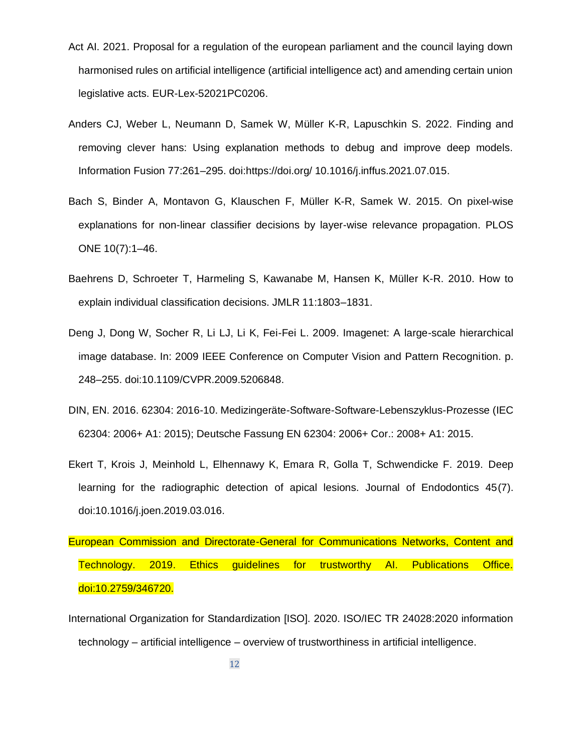- Act AI. 2021. Proposal for a regulation of the european parliament and the council laying down harmonised rules on artificial intelligence (artificial intelligence act) and amending certain union legislative acts. EUR-Lex-52021PC0206.
- Anders CJ, Weber L, Neumann D, Samek W, Müller K-R, Lapuschkin S. 2022. Finding and removing clever hans: Using explanation methods to debug and improve deep models. Information Fusion 77:261–295. doi:https://doi.org/ 10.1016/j.inffus.2021.07.015.
- Bach S, Binder A, Montavon G, Klauschen F, Müller K-R, Samek W. 2015. On pixel-wise explanations for non-linear classifier decisions by layer-wise relevance propagation. PLOS ONE 10(7):1–46.
- Baehrens D, Schroeter T, Harmeling S, Kawanabe M, Hansen K, Müller K-R. 2010. How to explain individual classification decisions. JMLR 11:1803–1831.
- Deng J, Dong W, Socher R, Li LJ, Li K, Fei-Fei L. 2009. Imagenet: A large-scale hierarchical image database. In: 2009 IEEE Conference on Computer Vision and Pattern Recognition. p. 248–255. doi:10.1109/CVPR.2009.5206848.
- DIN, EN. 2016. 62304: 2016-10. Medizingeräte-Software-Software-Lebenszyklus-Prozesse (IEC 62304: 2006+ A1: 2015); Deutsche Fassung EN 62304: 2006+ Cor.: 2008+ A1: 2015.
- Ekert T, Krois J, Meinhold L, Elhennawy K, Emara R, Golla T, Schwendicke F. 2019. Deep learning for the radiographic detection of apical lesions. Journal of Endodontics 45(7). doi:10.1016/j.joen.2019.03.016.

European Commission and Directorate-General for Communications Networks, Content and Technology. 2019. Ethics guidelines for trustworthy AI. Publications Office. doi:10.2759/346720.

International Organization for Standardization [ISO]. 2020. ISO/IEC TR 24028:2020 information technology – artificial intelligence – overview of trustworthiness in artificial intelligence.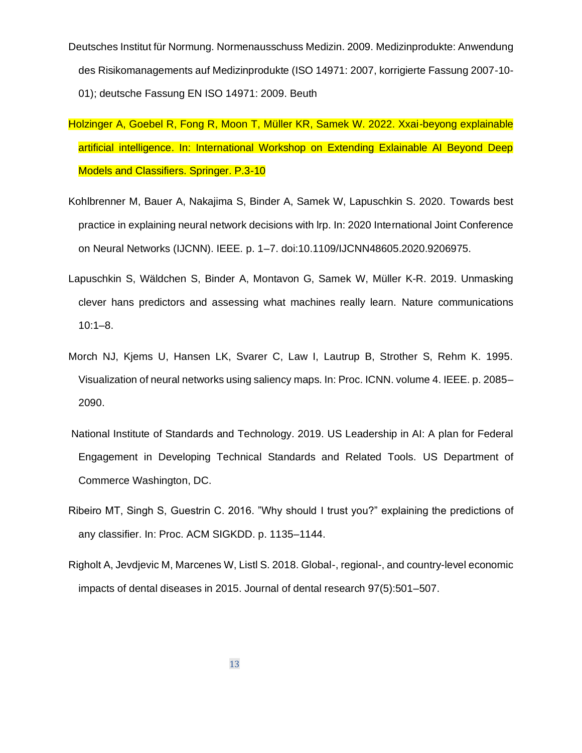Deutsches Institut für Normung. Normenausschuss Medizin. 2009. Medizinprodukte: Anwendung des Risikomanagements auf Medizinprodukte (ISO 14971: 2007, korrigierte Fassung 2007-10- 01); deutsche Fassung EN ISO 14971: 2009. Beuth

- Holzinger A, Goebel R, Fong R, Moon T, Müller KR, Samek W. 2022. Xxai-beyong explainable artificial intelligence. In: International Workshop on Extending Exlainable AI Beyond Deep Models and Classifiers. Springer. P.3-10
- Kohlbrenner M, Bauer A, Nakajima S, Binder A, Samek W, Lapuschkin S. 2020. Towards best practice in explaining neural network decisions with lrp. In: 2020 International Joint Conference on Neural Networks (IJCNN). IEEE. p. 1–7. doi:10.1109/IJCNN48605.2020.9206975.
- Lapuschkin S, Wäldchen S, Binder A, Montavon G, Samek W, Müller K-R. 2019. Unmasking clever hans predictors and assessing what machines really learn. Nature communications 10:1–8.
- Morch NJ, Kjems U, Hansen LK, Svarer C, Law I, Lautrup B, Strother S, Rehm K. 1995. Visualization of neural networks using saliency maps. In: Proc. ICNN. volume 4. IEEE. p. 2085– 2090.
- National Institute of Standards and Technology. 2019. US Leadership in AI: A plan for Federal Engagement in Developing Technical Standards and Related Tools. US Department of Commerce Washington, DC.
- Ribeiro MT, Singh S, Guestrin C. 2016. "Why should I trust you?" explaining the predictions of any classifier. In: Proc. ACM SIGKDD. p. 1135–1144.
- Righolt A, Jevdjevic M, Marcenes W, Listl S. 2018. Global-, regional-, and country-level economic impacts of dental diseases in 2015. Journal of dental research 97(5):501–507.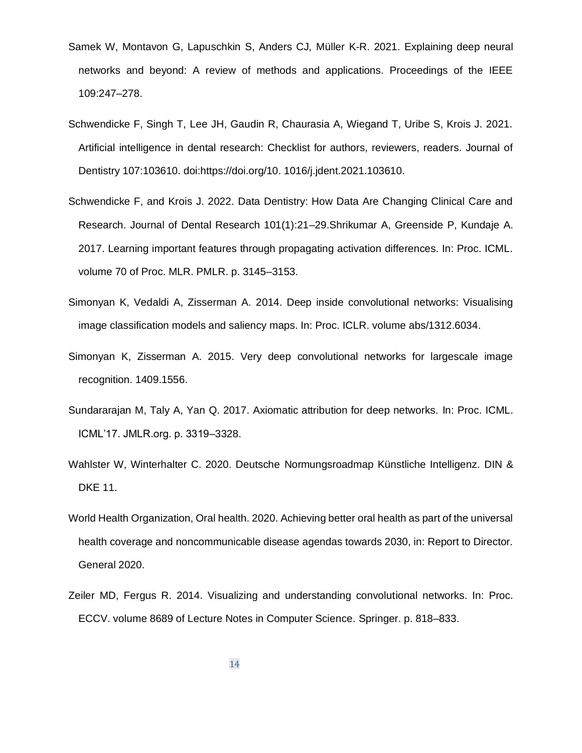- Samek W, Montavon G, Lapuschkin S, Anders CJ, Müller K-R. 2021. Explaining deep neural networks and beyond: A review of methods and applications. Proceedings of the IEEE 109:247–278.
- Schwendicke F, Singh T, Lee JH, Gaudin R, Chaurasia A, Wiegand T, Uribe S, Krois J. 2021. Artificial intelligence in dental research: Checklist for authors, reviewers, readers. Journal of Dentistry 107:103610. doi:https://doi.org/10. 1016/j.jdent.2021.103610.
- Schwendicke F, and Krois J. 2022. Data Dentistry: How Data Are Changing Clinical Care and Research. Journal of Dental Research 101(1):21–29.Shrikumar A, Greenside P, Kundaje A. 2017. Learning important features through propagating activation differences. In: Proc. ICML. volume 70 of Proc. MLR. PMLR. p. 3145–3153.
- Simonyan K, Vedaldi A, Zisserman A. 2014. Deep inside convolutional networks: Visualising image classification models and saliency maps. In: Proc. ICLR. volume abs/1312.6034.
- Simonyan K, Zisserman A. 2015. Very deep convolutional networks for largescale image recognition. 1409.1556.
- Sundararajan M, Taly A, Yan Q. 2017. Axiomatic attribution for deep networks. In: Proc. ICML. ICML'17. JMLR.org. p. 3319–3328.
- Wahlster W, Winterhalter C. 2020. Deutsche Normungsroadmap Künstliche Intelligenz. DIN & DKE 11.
- World Health Organization, Oral health. 2020. Achieving better oral health as part of the universal health coverage and noncommunicable disease agendas towards 2030, in: Report to Director. General 2020.
- Zeiler MD, Fergus R. 2014. Visualizing and understanding convolutional networks. In: Proc. ECCV. volume 8689 of Lecture Notes in Computer Science. Springer. p. 818–833.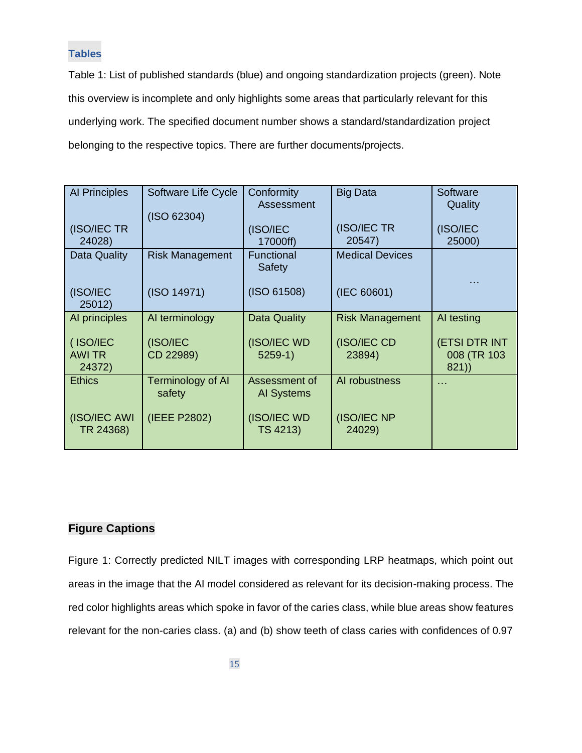### **Tables**

Table 1: List of published standards (blue) and ongoing standardization projects (green). Note this overview is incomplete and only highlights some areas that particularly relevant for this underlying work. The specified document number shows a standard/standardization project belonging to the respective topics. There are further documents/projects.

| <b>Al Principles</b>                | Software Life Cycle<br>(ISO 62304) | Conformity<br>Assessment    | <b>Big Data</b>        | Software<br>Quality                         |
|-------------------------------------|------------------------------------|-----------------------------|------------------------|---------------------------------------------|
| (ISO/IEC TR<br>24028)               |                                    | (ISO/IEC<br>17000ff)        | (ISO/IEC TR<br>20547)  | (ISO/IEC<br>25000)                          |
| <b>Data Quality</b>                 | <b>Risk Management</b>             | Functional<br>Safety        | <b>Medical Devices</b> |                                             |
| (ISO/IEC<br>25012)                  | (ISO 14971)                        | (ISO 61508)                 | (IEC 60601)            |                                             |
| Al principles                       | AI terminology                     | <b>Data Quality</b>         | <b>Risk Management</b> | AI testing                                  |
| (ISO/IEC<br><b>AWI TR</b><br>24372) | (ISO/IEC<br>CD 22989)              | (ISO/IEC WD<br>$5259-1)$    | (ISO/IEC CD<br>23894)  | <b>(ETSI DTR INT</b><br>008 (TR 103<br>821) |
| <b>Ethics</b>                       | <b>Terminology of AI</b><br>safety | Assessment of<br>AI Systems | Al robustness          | $\cdots$                                    |
| (ISO/IEC AWI<br>TR 24368)           | (IEEE P2802)                       | (ISO/IEC WD<br>TS 4213)     | (ISO/IEC NP<br>24029)  |                                             |

# **Figure Captions**

Figure 1: Correctly predicted NILT images with corresponding LRP heatmaps, which point out areas in the image that the AI model considered as relevant for its decision-making process. The red color highlights areas which spoke in favor of the caries class, while blue areas show features relevant for the non-caries class. (a) and (b) show teeth of class caries with confidences of 0.97